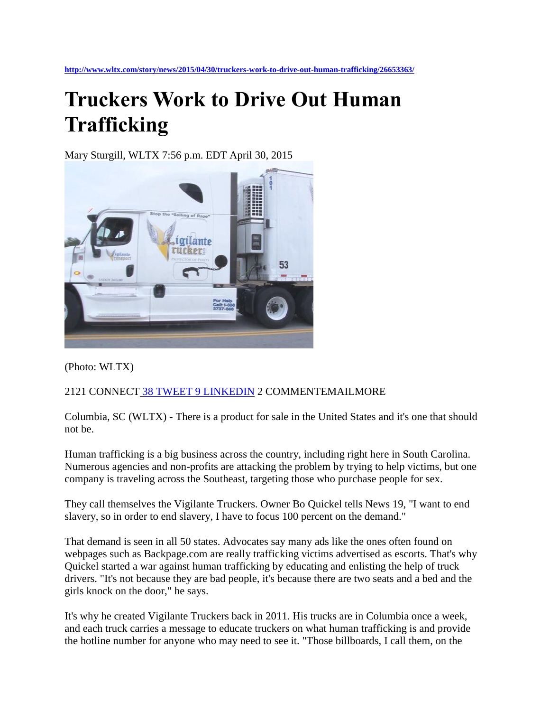## **Truckers Work to Drive Out Human Trafficking**

Mary Sturgill, WLTX 7:56 p.m. EDT April 30, 2015



(Photo: WLTX)

## 2121 CONNECT [38 TWEET](https://twitter.com/intent/tweet?url=http%3A//on.wltx.com/1zvShid&text=Truckers%20Work%20to%20Drive%20Out%20Human%20Trafficking&via=WLTX) [9 LINKEDIN](https://twitter.com/intent/tweet?url=http%3A//on.wltx.com/1zvShid&text=Truckers%20Work%20to%20Drive%20Out%20Human%20Trafficking&via=WLTX) 2 COMMENTEMAILMORE

Columbia, SC (WLTX) - There is a product for sale in the United States and it's one that should not be.

Human trafficking is a big business across the country, including right here in South Carolina. Numerous agencies and non-profits are attacking the problem by trying to help victims, but one company is traveling across the Southeast, targeting those who purchase people for sex.

They call themselves the Vigilante Truckers. Owner Bo Quickel tells News 19, "I want to end slavery, so in order to end slavery, I have to focus 100 percent on the demand."

That demand is seen in all 50 states. Advocates say many ads like the ones often found on webpages such as Backpage.com are really trafficking victims advertised as escorts. That's why Quickel started a war against human trafficking by educating and enlisting the help of truck drivers. "It's not because they are bad people, it's because there are two seats and a bed and the girls knock on the door," he says.

It's why he created Vigilante Truckers back in 2011. His trucks are in Columbia once a week, and each truck carries a message to educate truckers on what human trafficking is and provide the hotline number for anyone who may need to see it. "Those billboards, I call them, on the